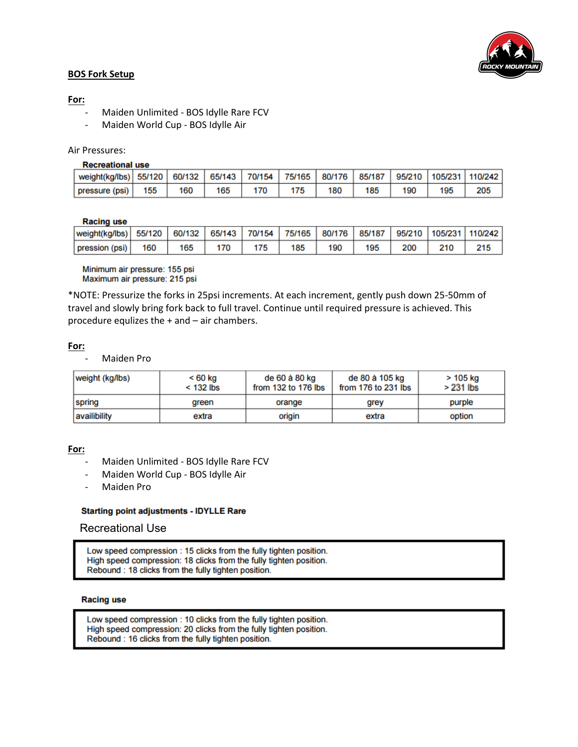

### **BOS Fork Setup**

## **For:**

- Maiden Unlimited BOS Idylle Rare FCV
- Maiden World Cup BOS Idylle Air

### Air Pressures:

#### **Recreational use**

| l weight(kg/lbs)   55/120   60/132   65/143   70/154   75/165   80/176   85/187   95/210   105/231   110/242 |     |     |     |     |     |     |     |     |
|--------------------------------------------------------------------------------------------------------------|-----|-----|-----|-----|-----|-----|-----|-----|
| pressure (psi)   155                                                                                         | 160 | 165 | 175 | 180 | 185 | 190 | 195 | 205 |

#### **Racing use**

| weight(kg/lbs)  55/120   60/132   65/143   70/154   75/165   80/176   85/187   95/210   105/231   110/242 |     |     |     |     |     |     |     |     |     |     |
|-----------------------------------------------------------------------------------------------------------|-----|-----|-----|-----|-----|-----|-----|-----|-----|-----|
| pression (psi)                                                                                            | 160 | 165 | 170 | 175 | 185 | 190 | 195 | 200 | 210 | 215 |

Minimum air pressure: 155 psi Maximum air pressure: 215 psi

\*NOTE: Pressurize the forks in 25psi increments. At each increment, gently push down 25-50mm of travel and slowly bring fork back to full travel. Continue until required pressure is achieved. This procedure equlizes the + and – air chambers.

### **For:**

Maiden Pro

| weight (kg/lbs) | < 60 kg<br>$<$ 132 lbs | de 60 à 80 kg<br>from 132 to 176 lbs | de 80 à 105 kg<br>from 176 to 231 lbs | > 105 kg<br>$>231$ lbs |
|-----------------|------------------------|--------------------------------------|---------------------------------------|------------------------|
| spring          | green                  | orange                               | grey                                  | purple                 |
| availibility    | extra                  | origin                               | extra                                 | option                 |

**For:** 

- Maiden Unlimited BOS Idylle Rare FCV
- Maiden World Cup BOS Idylle Air
- Maiden Pro

### **Starting point adjustments - IDYLLE Rare**

# Recreational Use

Low speed compression : 15 clicks from the fully tighten position. High speed compression: 18 clicks from the fully tighten position. Rebound: 18 clicks from the fully tighten position.

#### **Racing use**

Low speed compression : 10 clicks from the fully tighten position. High speed compression: 20 clicks from the fully tighten position. Rebound : 16 clicks from the fully tighten position.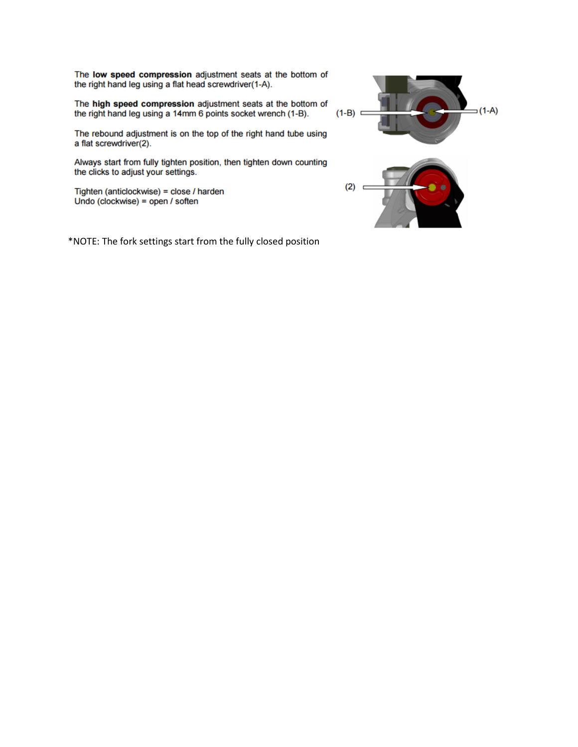The low speed compression adjustment seats at the bottom of the right hand leg using a flat head screwdriver(1-A).

The high speed compression adjustment seats at the bottom of the right hand leg using a 14mm 6 points socket wrench (1-B).

The rebound adjustment is on the top of the right hand tube using a flat screwdriver(2).

Always start from fully tighten position, then tighten down counting the clicks to adjust your settings.

Tighten (anticlockwise) = close / harden Undo (clockwise) = open / soften

\*NOTE: The fork settings start from the fully closed position